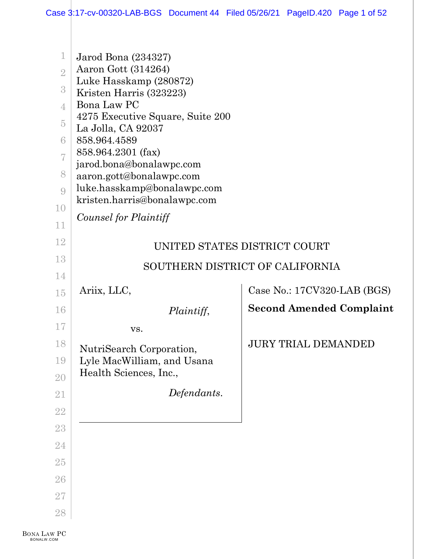| $\mathbf 1$<br>$\overline{2}$<br>$\sqrt{3}$<br>$\overline{4}$<br>$\overline{5}$<br>6<br>7<br>8<br>9<br>10<br>11 | Jarod Bona (234327)<br>Aaron Gott (314264)<br>Luke Hasskamp (280872)<br>Kristen Harris (323223)<br>Bona Law PC<br>4275 Executive Square, Suite 200<br>La Jolla, CA 92037<br>858.964.4589<br>858.964.2301 (fax)<br>jarod.bona@bonalawpc.com<br>aaron.gott@bonalawpc.com<br>luke.hasskamp@bonalawpc.com<br>kristen.harris@bonalawpc.com<br>Counsel for Plaintiff |                                 |
|-----------------------------------------------------------------------------------------------------------------|----------------------------------------------------------------------------------------------------------------------------------------------------------------------------------------------------------------------------------------------------------------------------------------------------------------------------------------------------------------|---------------------------------|
| 12                                                                                                              |                                                                                                                                                                                                                                                                                                                                                                | UNITED STATES DISTRICT COURT    |
| 13                                                                                                              |                                                                                                                                                                                                                                                                                                                                                                | SOUTHERN DISTRICT OF CALIFORNIA |
| 14                                                                                                              |                                                                                                                                                                                                                                                                                                                                                                |                                 |
| 15                                                                                                              | Ariix, LLC,                                                                                                                                                                                                                                                                                                                                                    | Case No.: 17CV320-LAB (BGS)     |
| 16                                                                                                              | Plaintiff,                                                                                                                                                                                                                                                                                                                                                     | <b>Second Amended Complaint</b> |
| 17                                                                                                              | VS.                                                                                                                                                                                                                                                                                                                                                            |                                 |
| 18                                                                                                              | NutriSearch Corporation,                                                                                                                                                                                                                                                                                                                                       | <b>JURY TRIAL DEMANDED</b>      |
| 19                                                                                                              | Lyle MacWilliam, and Usana                                                                                                                                                                                                                                                                                                                                     |                                 |
| 20                                                                                                              | Health Sciences, Inc.,                                                                                                                                                                                                                                                                                                                                         |                                 |
| 21                                                                                                              | Defendants.                                                                                                                                                                                                                                                                                                                                                    |                                 |
| $22\,$                                                                                                          |                                                                                                                                                                                                                                                                                                                                                                |                                 |
| 23                                                                                                              |                                                                                                                                                                                                                                                                                                                                                                |                                 |
| 24                                                                                                              |                                                                                                                                                                                                                                                                                                                                                                |                                 |
| $25\,$                                                                                                          |                                                                                                                                                                                                                                                                                                                                                                |                                 |
| 26                                                                                                              |                                                                                                                                                                                                                                                                                                                                                                |                                 |
| 27                                                                                                              |                                                                                                                                                                                                                                                                                                                                                                |                                 |
| 28                                                                                                              |                                                                                                                                                                                                                                                                                                                                                                |                                 |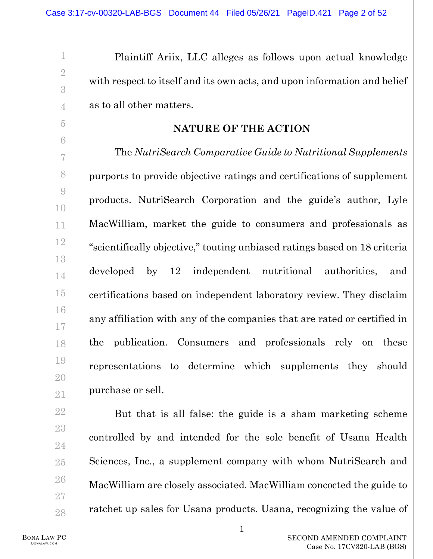Plaintiff Ariix, LLC alleges as follows upon actual knowledge with respect to itself and its own acts, and upon information and belief as to all other matters.

## **NATURE OF THE ACTION**

The *NutriSearch Comparative Guide to Nutritional Supplements*  purports to provide objective ratings and certifications of supplement products. NutriSearch Corporation and the guide's author, Lyle MacWilliam, market the guide to consumers and professionals as "scientifically objective," touting unbiased ratings based on 18 criteria developed by 12 independent nutritional authorities, and certifications based on independent laboratory review. They disclaim any affiliation with any of the companies that are rated or certified in the publication. Consumers and professionals rely on these representations to determine which supplements they should purchase or sell.

But that is all false: the guide is a sham marketing scheme controlled by and intended for the sole benefit of Usana Health Sciences, Inc., a supplement company with whom NutriSearch and MacWilliam are closely associated. MacWilliam concocted the guide to ratchet up sales for Usana products. Usana, recognizing the value of

BONA LAW PC BONALAW.COM

1

2

3

4

5

6

7

8

9

10

11

12

13

14

15

16

17

18

19

20

21

22

23

24

25

26

27

28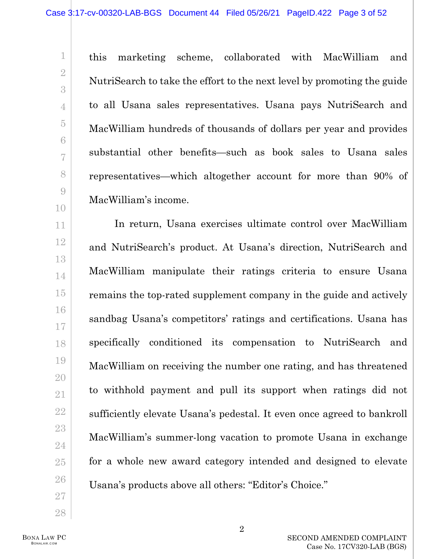this marketing scheme, collaborated with MacWilliam and NutriSearch to take the effort to the next level by promoting the guide to all Usana sales representatives. Usana pays NutriSearch and MacWilliam hundreds of thousands of dollars per year and provides substantial other benefits—such as book sales to Usana sales representatives—which altogether account for more than 90% of MacWilliam's income.

In return, Usana exercises ultimate control over MacWilliam and NutriSearch's product. At Usana's direction, NutriSearch and MacWilliam manipulate their ratings criteria to ensure Usana remains the top-rated supplement company in the guide and actively sandbag Usana's competitors' ratings and certifications. Usana has specifically conditioned its compensation to NutriSearch and MacWilliam on receiving the number one rating, and has threatened to withhold payment and pull its support when ratings did not sufficiently elevate Usana's pedestal. It even once agreed to bankroll MacWilliam's summer-long vacation to promote Usana in exchange for a whole new award category intended and designed to elevate Usana's products above all others: "Editor's Choice."

1

2

3

4

5

6

7

8

9

10

11

12

13

14

15

16

17

18

19

20

21

22

23

24

25

26

27

28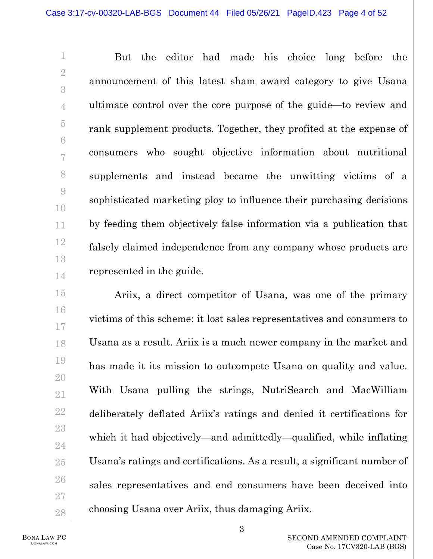But the editor had made his choice long before the announcement of this latest sham award category to give Usana ultimate control over the core purpose of the guide—to review and rank supplement products. Together, they profited at the expense of consumers who sought objective information about nutritional supplements and instead became the unwitting victims of a sophisticated marketing ploy to influence their purchasing decisions by feeding them objectively false information via a publication that falsely claimed independence from any company whose products are represented in the guide.

Ariix, a direct competitor of Usana, was one of the primary victims of this scheme: it lost sales representatives and consumers to Usana as a result. Ariix is a much newer company in the market and has made it its mission to outcompete Usana on quality and value. With Usana pulling the strings, NutriSearch and MacWilliam deliberately deflated Ariix's ratings and denied it certifications for which it had objectively—and admittedly—qualified, while inflating Usana's ratings and certifications. As a result, a significant number of sales representatives and end consumers have been deceived into choosing Usana over Ariix, thus damaging Ariix.

BONA LAW PC BONALAW.COM

1

2

3

4

5

6

7

8

9

10

11

12

13

14

15

16

17

18

19

20

21

22

23

24

25

26

27

28

3

SECOND AMENDED COMPLAINT Case No. 17CV320-LAB (BGS)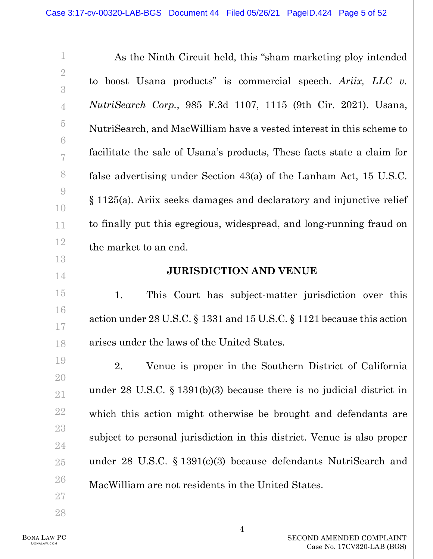As the Ninth Circuit held, this "sham marketing ploy intended to boost Usana products" is commercial speech. *Ariix, LLC v. NutriSearch Corp.*, 985 F.3d 1107, 1115 (9th Cir. 2021). Usana, NutriSearch, and MacWilliam have a vested interest in this scheme to facilitate the sale of Usana's products, These facts state a claim for false advertising under Section 43(a) of the Lanham Act, 15 U.S.C. § 1125(a). Ariix seeks damages and declaratory and injunctive relief to finally put this egregious, widespread, and long-running fraud on the market to an end.

# **JURISDICTION AND VENUE**

1. This Court has subject-matter jurisdiction over this action under 28 U.S.C. § 1331 and 15 U.S.C. § 1121 because this action arises under the laws of the United States.

2. Venue is proper in the Southern District of California under 28 U.S.C. § 1391(b)(3) because there is no judicial district in which this action might otherwise be brought and defendants are subject to personal jurisdiction in this district. Venue is also proper under 28 U.S.C. § 1391(c)(3) because defendants NutriSearch and MacWilliam are not residents in the United States.

BONA LAW PC BONALAW.COM

1

2

3

4

5

6

7

8

9

10

11

12

13

14

15

16

17

18

19

20

21

22

23

24

25

26

27

28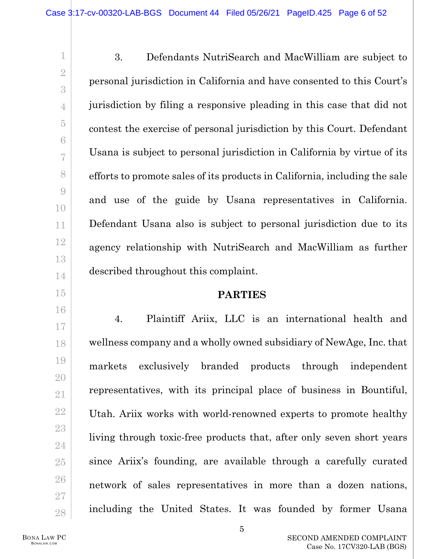3. Defendants NutriSearch and MacWilliam are subject to personal jurisdiction in California and have consented to this Court's jurisdiction by filing a responsive pleading in this case that did not contest the exercise of personal jurisdiction by this Court. Defendant Usana is subject to personal jurisdiction in California by virtue of its efforts to promote sales of its products in California, including the sale and use of the guide by Usana representatives in California. Defendant Usana also is subject to personal jurisdiction due to its agency relationship with NutriSearch and MacWilliam as further described throughout this complaint.

## **PARTIES**

4. Plaintiff Ariix, LLC is an international health and wellness company and a wholly owned subsidiary of NewAge, Inc. that markets exclusively branded products through independent representatives, with its principal place of business in Bountiful, Utah. Ariix works with world-renowned experts to promote healthy living through toxic-free products that, after only seven short years since Ariix's founding, are available through a carefully curated network of sales representatives in more than a dozen nations, including the United States. It was founded by former Usana

BONA LAW PC BONALAW.COM

1

2

3

4

5

6

7

8

9

10

11

12

13

14

15

16

17

18

19

20

21

22

23

24

25

26

27

28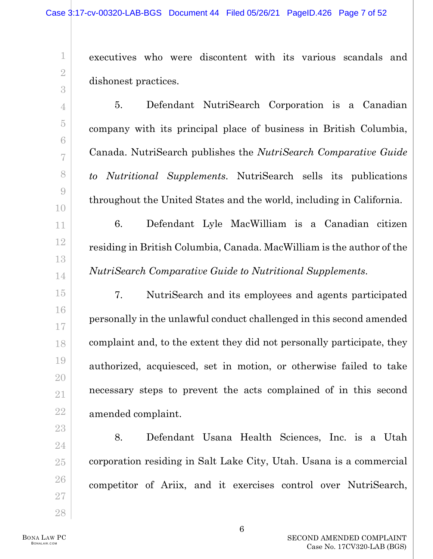executives who were discontent with its various scandals and dishonest practices.

5. Defendant NutriSearch Corporation is a Canadian company with its principal place of business in British Columbia, Canada. NutriSearch publishes the *NutriSearch Comparative Guide to Nutritional Supplements*. NutriSearch sells its publications throughout the United States and the world, including in California.

6. Defendant Lyle MacWilliam is a Canadian citizen residing in British Columbia, Canada. MacWilliam is the author of the *NutriSearch Comparative Guide to Nutritional Supplements*.

7. NutriSearch and its employees and agents participated personally in the unlawful conduct challenged in this second amended complaint and, to the extent they did not personally participate, they authorized, acquiesced, set in motion, or otherwise failed to take necessary steps to prevent the acts complained of in this second amended complaint.

8. Defendant Usana Health Sciences, Inc. is a Utah corporation residing in Salt Lake City, Utah. Usana is a commercial competitor of Ariix, and it exercises control over NutriSearch,

1

2

3

4

5

6

7

8

9

10

11

12

13

14

15

16

17

18

19

20

21

22

23

24

25

26

27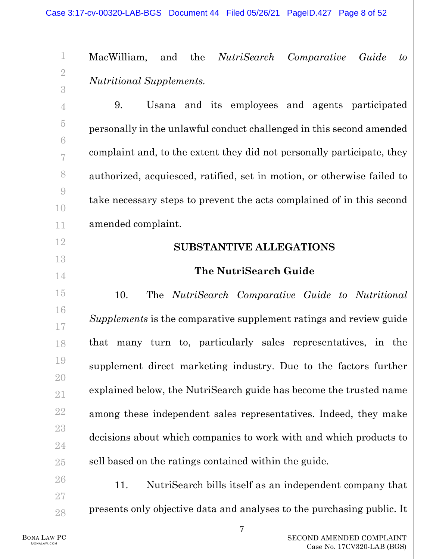MacWilliam, and the *NutriSearch Comparative Guide to Nutritional Supplements.*

9. Usana and its employees and agents participated personally in the unlawful conduct challenged in this second amended complaint and, to the extent they did not personally participate, they authorized, acquiesced, ratified, set in motion, or otherwise failed to take necessary steps to prevent the acts complained of in this second amended complaint.

# **SUBSTANTIVE ALLEGATIONS**

# **The NutriSearch Guide**

10. The *NutriSearch Comparative Guide to Nutritional Supplements* is the comparative supplement ratings and review guide that many turn to, particularly sales representatives, in the supplement direct marketing industry. Due to the factors further explained below, the NutriSearch guide has become the trusted name among these independent sales representatives. Indeed, they make decisions about which companies to work with and which products to sell based on the ratings contained within the guide.

11. NutriSearch bills itself as an independent company that presents only objective data and analyses to the purchasing public. It

1

2

3

4

5

6

7

8

9

10

11

12

13

14

15

16

17

18

19

20

21

22

23

24

25

26

27

28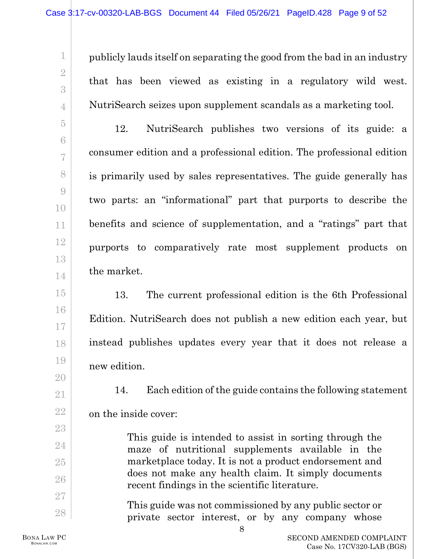publicly lauds itself on separating the good from the bad in an industry that has been viewed as existing in a regulatory wild west. NutriSearch seizes upon supplement scandals as a marketing tool.

12. NutriSearch publishes two versions of its guide: a consumer edition and a professional edition. The professional edition is primarily used by sales representatives. The guide generally has two parts: an "informational" part that purports to describe the benefits and science of supplementation, and a "ratings" part that purports to comparatively rate most supplement products on the market.

13. The current professional edition is the 6th Professional Edition. NutriSearch does not publish a new edition each year, but instead publishes updates every year that it does not release a new edition.

<span id="page-8-0"></span>14. Each edition of the guide contains the following statement on the inside cover:

> This guide is intended to assist in sorting through the maze of nutritional supplements available in the marketplace today. It is not a product endorsement and does not make any health claim. It simply documents recent findings in the scientific literature.

> This guide was not commissioned by any public sector or private sector interest, or by any company whose

1

2

3

4

5

6

7

8

9

10

11

12

13

14

15

16

17

18

19

20

21

22

23

24

25

26

27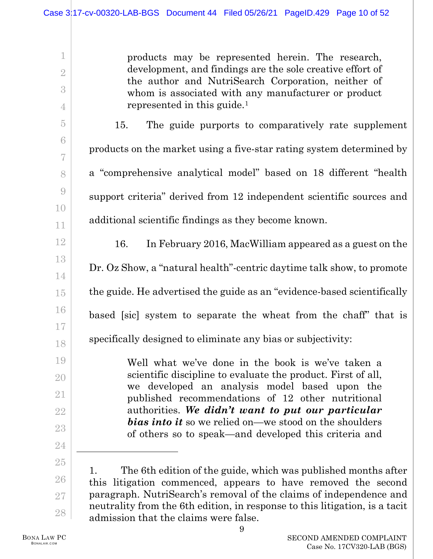products may be represented herein. The research, development, and findings are the sole creative effort of the author and NutriSearch Corporation, neither of whom is associated with any manufacturer or product represented in this guide.[1](#page-9-0)

15. The guide purports to comparatively rate supplement products on the market using a five-star rating system determined by a "comprehensive analytical model" based on 18 different "health support criteria" derived from 12 independent scientific sources and additional scientific findings as they become known.

<span id="page-9-1"></span>16. In February 2016, MacWilliam appeared as a guest on the Dr. Oz Show, a "natural health"-centric daytime talk show, to promote the guide. He advertised the guide as an "evidence-based scientifically based [sic] system to separate the wheat from the chaff" that is specifically designed to eliminate any bias or subjectivity:

> Well what we've done in the book is we've taken a scientific discipline to evaluate the product. First of all, we developed an analysis model based upon the published recommendations of 12 other nutritional authorities. *We didn't want to put our particular bias into it* so we relied on—we stood on the shoulders of others so to speak—and developed this criteria and

<span id="page-9-0"></span>25 26 27 28 1. The 6th edition of the guide, which was published months after this litigation commenced, appears to have removed the second paragraph. NutriSearch's removal of the claims of independence and neutrality from the 6th edition, in response to this litigation, is a tacit admission that the claims were false.

1

2

3

4

5

6

7

8

9

10

11

12

13

14

15

16

17

18

19

20

21

22

23

24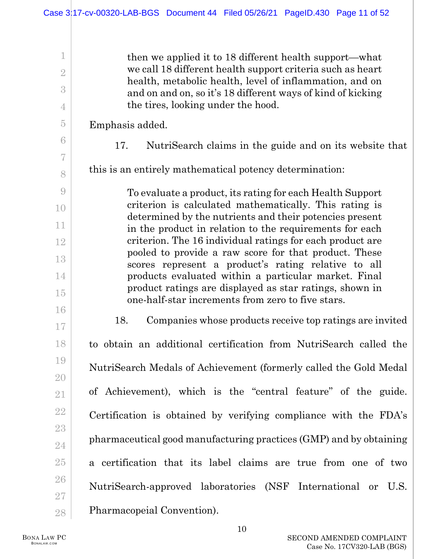then we applied it to 18 different health support—what we call 18 different health support criteria such as heart health, metabolic health, level of inflammation, and on and on and on, so it's 18 different ways of kind of kicking the tires, looking under the hood.

Emphasis added.

1

2

3

4

5

<span id="page-10-0"></span>6

7

8

9

10

11

12

13

14

15

16

17

18

19

20

21

22

23

24

25

26

27

28

17. NutriSearch claims in the guide and on its website that

this is an entirely mathematical potency determination:

To evaluate a product, its rating for each Health Support criterion is calculated mathematically. This rating is determined by the nutrients and their potencies present in the product in relation to the requirements for each criterion. The 16 individual ratings for each product are pooled to provide a raw score for that product. These scores represent a product's rating relative to all products evaluated within a particular market. Final product ratings are displayed as star ratings, shown in one-half-star increments from zero to five stars.

18. Companies whose products receive top ratings are invited to obtain an additional certification from NutriSearch called the NutriSearch Medals of Achievement (formerly called the Gold Medal of Achievement), which is the "central feature" of the guide. Certification is obtained by verifying compliance with the FDA's pharmaceutical good manufacturing practices (GMP) and by obtaining a certification that its label claims are true from one of two NutriSearch-approved laboratories (NSF International or U.S. Pharmacopeial Convention).

BONA LAW PC BONALAW.COM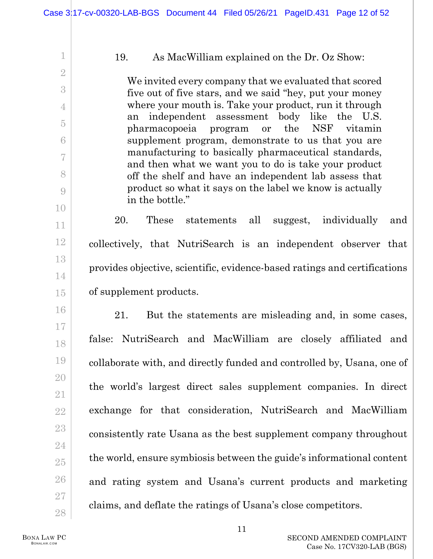#### 19. As MacWilliam explained on the Dr. Oz Show:

We invited every company that we evaluated that scored five out of five stars, and we said "hey, put your money where your mouth is. Take your product, run it through an independent assessment body like the U.S. pharmacopoeia program or the NSF vitamin supplement program, demonstrate to us that you are manufacturing to basically pharmaceutical standards, and then what we want you to do is take your product off the shelf and have an independent lab assess that product so what it says on the label we know is actually in the bottle."

20. These statements all suggest, individually and collectively, that NutriSearch is an independent observer that provides objective, scientific, evidence-based ratings and certifications of supplement products.

21. But the statements are misleading and, in some cases, false: NutriSearch and MacWilliam are closely affiliated and collaborate with, and directly funded and controlled by, Usana, one of the world's largest direct sales supplement companies. In direct exchange for that consideration, NutriSearch and MacWilliam consistently rate Usana as the best supplement company throughout the world, ensure symbiosis between the guide's informational content and rating system and Usana's current products and marketing claims, and deflate the ratings of Usana's close competitors.

BONA LAW PC BONALAW.COM

<span id="page-11-0"></span>1

2

3

4

5

6

7

8

9

10

11

12

13

14

15

16

17

18

19

20

21

22

23

24

25

26

27

28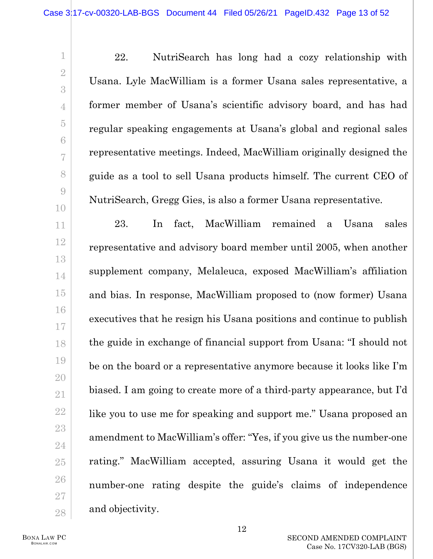22. NutriSearch has long had a cozy relationship with Usana. Lyle MacWilliam is a former Usana sales representative, a former member of Usana's scientific advisory board, and has had regular speaking engagements at Usana's global and regional sales representative meetings. Indeed, MacWilliam originally designed the guide as a tool to sell Usana products himself. The current CEO of NutriSearch, Gregg Gies, is also a former Usana representative.

23. In fact, MacWilliam remained a Usana sales representative and advisory board member until 2005, when another supplement company, Melaleuca, exposed MacWilliam's affiliation and bias. In response, MacWilliam proposed to (now former) Usana executives that he resign his Usana positions and continue to publish the guide in exchange of financial support from Usana: "I should not be on the board or a representative anymore because it looks like I'm biased. I am going to create more of a third-party appearance, but I'd like you to use me for speaking and support me." Usana proposed an amendment to MacWilliam's offer: "Yes, if you give us the number-one rating." MacWilliam accepted, assuring Usana it would get the number-one rating despite the guide's claims of independence and objectivity.

1

2

3

4

5

6

7

8

9

10

11

12

13

14

15

16

17

18

19

20

21

22

23

24

25

26

27

28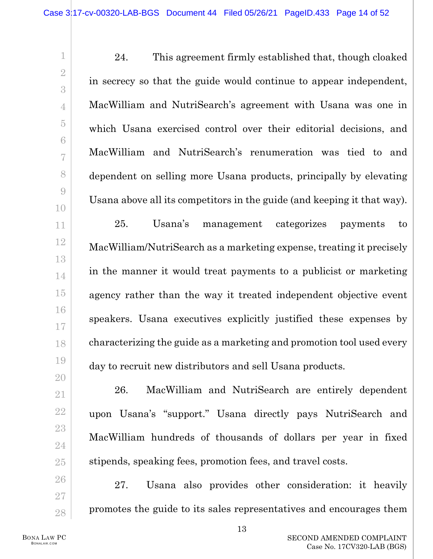24. This agreement firmly established that, though cloaked in secrecy so that the guide would continue to appear independent, MacWilliam and NutriSearch's agreement with Usana was one in which Usana exercised control over their editorial decisions, and MacWilliam and NutriSearch's renumeration was tied to and dependent on selling more Usana products, principally by elevating Usana above all its competitors in the guide (and keeping it that way). 25. Usana's management categorizes payments to MacWilliam/NutriSearch as a marketing expense, treating it precisely in the manner it would treat payments to a publicist or marketing agency rather than the way it treated independent objective event speakers. Usana executives explicitly justified these expenses by characterizing the guide as a marketing and promotion tool used every

28

26. MacWilliam and NutriSearch are entirely dependent upon Usana's "support." Usana directly pays NutriSearch and MacWilliam hundreds of thousands of dollars per year in fixed stipends, speaking fees, promotion fees, and travel costs.

day to recruit new distributors and sell Usana products.

27. Usana also provides other consideration: it heavily promotes the guide to its sales representatives and encourages them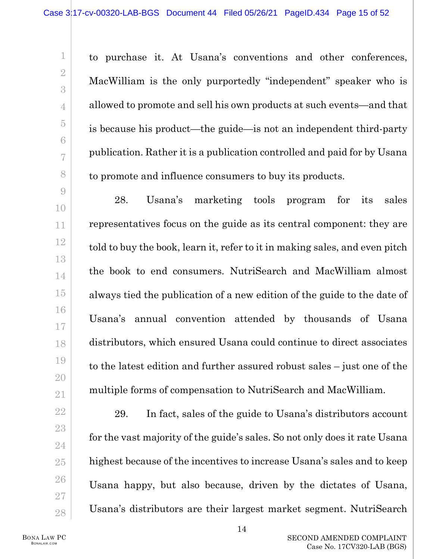to purchase it. At Usana's conventions and other conferences, MacWilliam is the only purportedly "independent" speaker who is allowed to promote and sell his own products at such events—and that is because his product—the guide—is not an independent third-party publication. Rather it is a publication controlled and paid for by Usana to promote and influence consumers to buy its products. 28. Usana's marketing tools program for its sales representatives focus on the guide as its central component: they are told to buy the book, learn it, refer to it in making sales, and even pitch the book to end consumers. NutriSearch and MacWilliam almost always tied the publication of a new edition of the guide to the date of Usana's annual convention attended by thousands of Usana distributors, which ensured Usana could continue to direct associates to the latest edition and further assured robust sales – just one of the multiple forms of compensation to NutriSearch and MacWilliam.

29. In fact, sales of the guide to Usana's distributors account for the vast majority of the guide's sales. So not only does it rate Usana highest because of the incentives to increase Usana's sales and to keep Usana happy, but also because, driven by the dictates of Usana, Usana's distributors are their largest market segment. NutriSearch

BONA LAW PC BONALAW.COM

1

2

3

4

5

6

7

8

9

10

11

12

13

14

15

16

17

18

19

20

21

22

23

24

25

26

27

28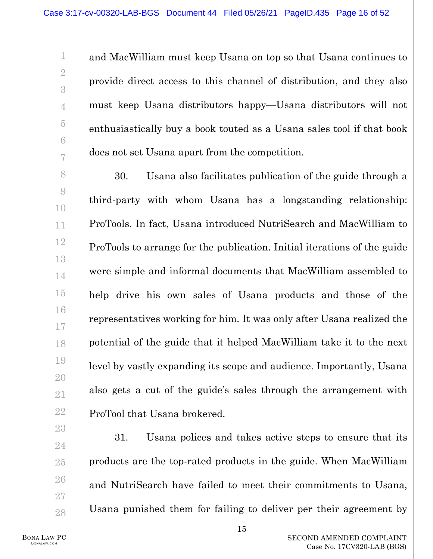and MacWilliam must keep Usana on top so that Usana continues to provide direct access to this channel of distribution, and they also must keep Usana distributors happy—Usana distributors will not enthusiastically buy a book touted as a Usana sales tool if that book does not set Usana apart from the competition.

30. Usana also facilitates publication of the guide through a third-party with whom Usana has a longstanding relationship: ProTools. In fact, Usana introduced NutriSearch and MacWilliam to ProTools to arrange for the publication. Initial iterations of the guide were simple and informal documents that MacWilliam assembled to help drive his own sales of Usana products and those of the representatives working for him. It was only after Usana realized the potential of the guide that it helped MacWilliam take it to the next level by vastly expanding its scope and audience. Importantly, Usana also gets a cut of the guide's sales through the arrangement with ProTool that Usana brokered.

31. Usana polices and takes active steps to ensure that its products are the top-rated products in the guide. When MacWilliam and NutriSearch have failed to meet their commitments to Usana, Usana punished them for failing to deliver per their agreement by

1

2

3

4

5

6

7

8

9

10

11

12

13

14

15

16

17

18

19

20

21

22

23

24

25

26

27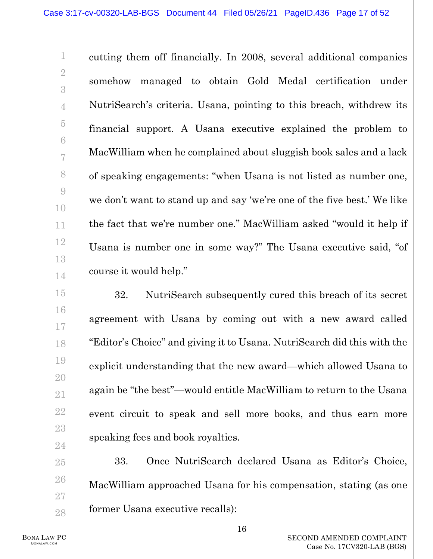cutting them off financially. In 2008, several additional companies somehow managed to obtain Gold Medal certification under NutriSearch's criteria. Usana, pointing to this breach, withdrew its financial support. A Usana executive explained the problem to MacWilliam when he complained about sluggish book sales and a lack of speaking engagements: "when Usana is not listed as number one, we don't want to stand up and say 'we're one of the five best.' We like the fact that we're number one." MacWilliam asked "would it help if Usana is number one in some way?" The Usana executive said, "of course it would help."

32. NutriSearch subsequently cured this breach of its secret agreement with Usana by coming out with a new award called "Editor's Choice" and giving it to Usana. NutriSearch did this with the explicit understanding that the new award—which allowed Usana to again be "the best"—would entitle MacWilliam to return to the Usana event circuit to speak and sell more books, and thus earn more speaking fees and book royalties.

33. Once NutriSearch declared Usana as Editor's Choice, MacWilliam approached Usana for his compensation, stating (as one former Usana executive recalls):

1

2

3

4

5

6

7

8

9

10

11

12

13

14

15

16

17

18

19

20

21

22

23

24

25

26

27

28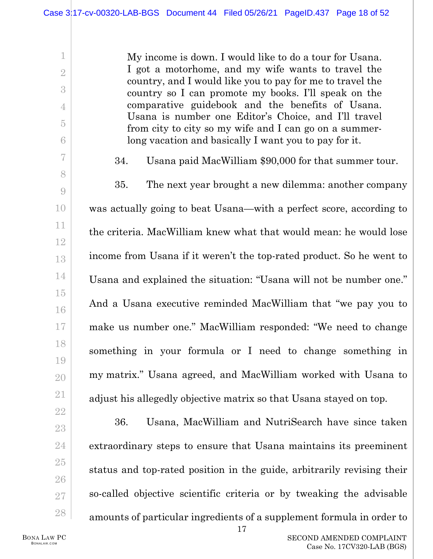My income is down. I would like to do a tour for Usana. I got a motorhome, and my wife wants to travel the country, and I would like you to pay for me to travel the country so I can promote my books. I'll speak on the comparative guidebook and the benefits of Usana. Usana is number one Editor's Choice, and I'll travel from city to city so my wife and I can go on a summerlong vacation and basically I want you to pay for it.

34. Usana paid MacWilliam \$90,000 for that summer tour. 35. The next year brought a new dilemma: another company was actually going to beat Usana—with a perfect score, according to the criteria. MacWilliam knew what that would mean: he would lose income from Usana if it weren't the top-rated product. So he went to Usana and explained the situation: "Usana will not be number one." And a Usana executive reminded MacWilliam that "we pay you to make us number one." MacWilliam responded: "We need to change something in your formula or I need to change something in my matrix." Usana agreed, and MacWilliam worked with Usana to adjust his allegedly objective matrix so that Usana stayed on top.

<span id="page-17-0"></span>36. Usana, MacWilliam and NutriSearch have since taken extraordinary steps to ensure that Usana maintains its preeminent status and top-rated position in the guide, arbitrarily revising their so-called objective scientific criteria or by tweaking the advisable amounts of particular ingredients of a supplement formula in order to

1

2

3

4

5

6

7

8

9

10

11

12

13

14

15

16

17

18

19

20

21

22

23

24

25

26

27

28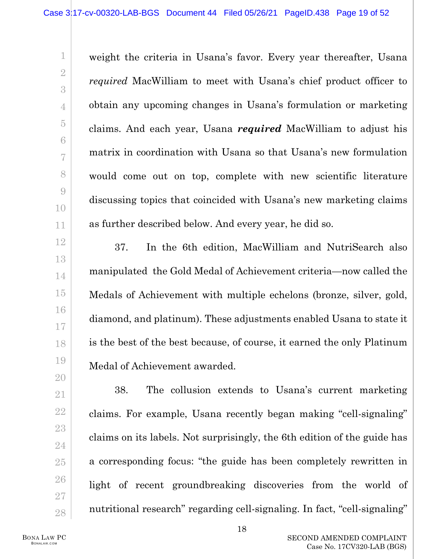weight the criteria in Usana's favor. Every year thereafter, Usana *required* MacWilliam to meet with Usana's chief product officer to obtain any upcoming changes in Usana's formulation or marketing claims. And each year, Usana *required* MacWilliam to adjust his matrix in coordination with Usana so that Usana's new formulation would come out on top, complete with new scientific literature discussing topics that coincided with Usana's new marketing claims as further described below. And every year, he did so.

37. In the 6th edition, MacWilliam and NutriSearch also manipulated the Gold Medal of Achievement criteria—now called the Medals of Achievement with multiple echelons (bronze, silver, gold, diamond, and platinum). These adjustments enabled Usana to state it is the best of the best because, of course, it earned the only Platinum Medal of Achievement awarded.

38. The collusion extends to Usana's current marketing claims. For example, Usana recently began making "cell-signaling" claims on its labels. Not surprisingly, the 6th edition of the guide has a corresponding focus: "the guide has been completely rewritten in light of recent groundbreaking discoveries from the world of nutritional research" regarding cell-signaling. In fact, "cell-signaling"

BONA LAW PC BONALAW.COM

1

2

3

4

5

6

7

8

9

10

11

12

13

14

15

16

17

18

19

20

21

22

23

24

25

26

27

28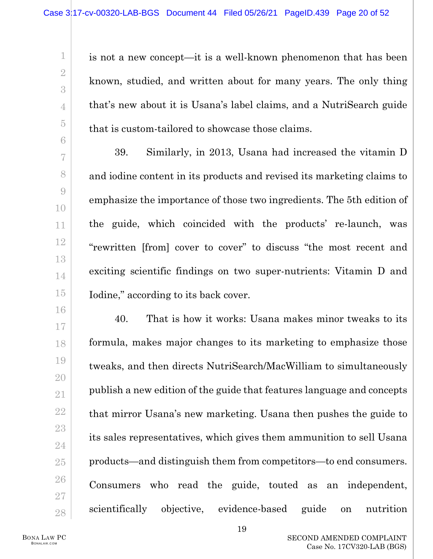is not a new concept—it is a well-known phenomenon that has been known, studied, and written about for many years. The only thing that's new about it is Usana's label claims, and a NutriSearch guide that is custom-tailored to showcase those claims.

39. Similarly, in 2013, Usana had increased the vitamin D and iodine content in its products and revised its marketing claims to emphasize the importance of those two ingredients. The 5th edition of the guide, which coincided with the products' re-launch, was "rewritten [from] cover to cover" to discuss "the most recent and exciting scientific findings on two super-nutrients: Vitamin D and Iodine," according to its back cover.

<span id="page-19-0"></span>40. That is how it works: Usana makes minor tweaks to its formula, makes major changes to its marketing to emphasize those tweaks, and then directs NutriSearch/MacWilliam to simultaneously publish a new edition of the guide that features language and concepts that mirror Usana's new marketing. Usana then pushes the guide to its sales representatives, which gives them ammunition to sell Usana products—and distinguish them from competitors—to end consumers. Consumers who read the guide, touted as an independent, scientifically objective, evidence-based guide on nutrition

1

2

3

4

5

6

7

8

9

10

11

12

13

14

15

16

17

18

19

20

21

22

23

24

25

26

27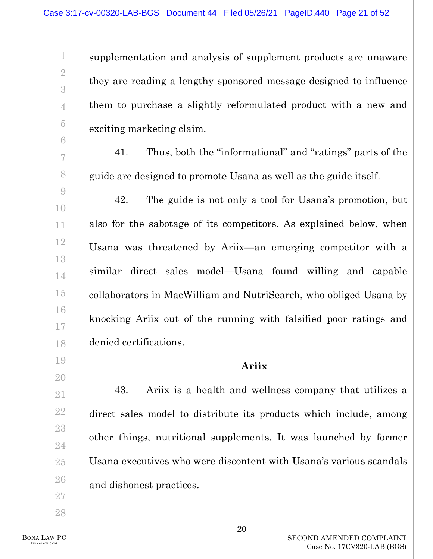supplementation and analysis of supplement products are unaware they are reading a lengthy sponsored message designed to influence them to purchase a slightly reformulated product with a new and exciting marketing claim.

41. Thus, both the "informational" and "ratings" parts of the guide are designed to promote Usana as well as the guide itself.

<span id="page-20-0"></span>42. The guide is not only a tool for Usana's promotion, but also for the sabotage of its competitors. As explained below, when Usana was threatened by Ariix—an emerging competitor with a similar direct sales model—Usana found willing and capable collaborators in MacWilliam and NutriSearch, who obliged Usana by knocking Ariix out of the running with falsified poor ratings and denied certifications.

## **Ariix**

43. Ariix is a health and wellness company that utilizes a direct sales model to distribute its products which include, among other things, nutritional supplements. It was launched by former Usana executives who were discontent with Usana's various scandals and dishonest practices.

1

2

3

4

5

6

7

8

9

10

11

12

13

14

15

16

17

18

19

20

21

22

23

24

25

26

27

28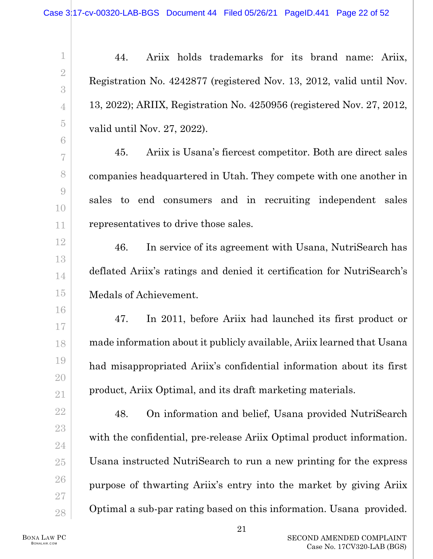44. Ariix holds trademarks for its brand name: Ariix, Registration No. 4242877 (registered Nov. 13, 2012, valid until Nov. 13, 2022); ARIIX, Registration No. 4250956 (registered Nov. 27, 2012, valid until Nov. 27, 2022).

45. Ariix is Usana's fiercest competitor. Both are direct sales companies headquartered in Utah. They compete with one another in sales to end consumers and in recruiting independent sales representatives to drive those sales.

46. In service of its agreement with Usana, NutriSearch has deflated Ariix's ratings and denied it certification for NutriSearch's Medals of Achievement.

47. In 2011, before Ariix had launched its first product or made information about it publicly available, Ariix learned that Usana had misappropriated Ariix's confidential information about its first product, Ariix Optimal, and its draft marketing materials.

48. On information and belief, Usana provided NutriSearch with the confidential, pre-release Ariix Optimal product information. Usana instructed NutriSearch to run a new printing for the express purpose of thwarting Ariix's entry into the market by giving Ariix Optimal a sub-par rating based on this information. Usana provided.

BONA LAW PC BONALAW.COM

1

2

3

4

5

6

7

8

9

10

11

12

13

14

15

16

17

18

19

20

21

22

23

24

25

26

27

28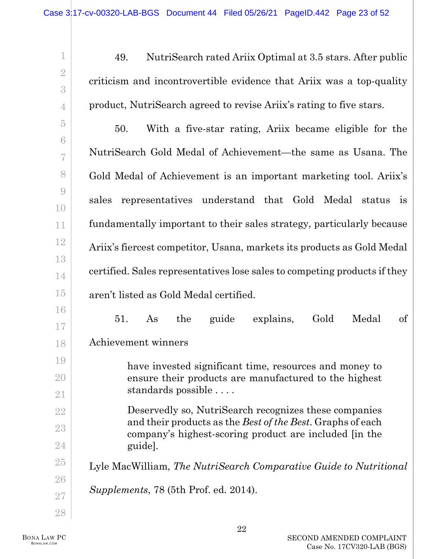| $\mathbf 1$                                | NutriSearch rated Ariix Optimal at 3.5 stars. After public<br>49.                                               |
|--------------------------------------------|-----------------------------------------------------------------------------------------------------------------|
| $\overline{2}$<br>3                        | criticism and incontrovertible evidence that Ariix was a top-quality                                            |
| 4                                          | product, NutriSearch agreed to revise Ariix's rating to five stars.                                             |
| $\overline{5}$                             | With a five-star rating, Ariix became eligible for the<br>50.                                                   |
| 6<br>7                                     | NutriSearch Gold Medal of Achievement—the same as Usana. The                                                    |
| 8                                          | Gold Medal of Achievement is an important marketing tool. Ariix's                                               |
| $\begin{matrix} 0 \\ 0 \end{matrix}$<br>10 | representatives understand that Gold Medal status<br>sales<br>$\frac{1}{1}$                                     |
| 11                                         | fundamentally important to their sales strategy, particularly because                                           |
| <b>12</b>                                  | Ariix's fiercest competitor, Usana, markets its products as Gold Medal                                          |
| 13<br>14                                   | certified. Sales representatives lose sales to competing products if they                                       |
| 15                                         | aren't listed as Gold Medal certified.                                                                          |
| 16                                         | explains,<br>Gold<br>Medal<br>$\sigma f$<br>51.<br>the<br>guide<br>As                                           |
| 17<br>18                                   | Achievement winners                                                                                             |
| 19                                         |                                                                                                                 |
| 20                                         | have invested significant time, resources and money to<br>ensure their products are manufactured to the highest |
| 21                                         | standards possible                                                                                              |
| 22                                         | Deservedly so, NutriSearch recognizes these companies                                                           |
| 23                                         | and their products as the <i>Best of the Best</i> . Graphs of each                                              |
| 24                                         | company's highest-scoring product are included [in the<br>guide].                                               |
| $25\,$                                     | Lyle MacWilliam, The NutriSearch Comparative Guide to Nutritional                                               |
| ${\bf 26}$                                 |                                                                                                                 |
| $27\,$                                     | Supplements, 78 (5th Prof. ed. 2014).                                                                           |
| 28                                         |                                                                                                                 |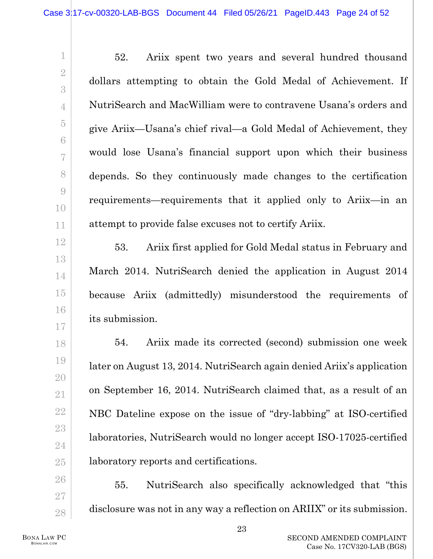52. Ariix spent two years and several hundred thousand dollars attempting to obtain the Gold Medal of Achievement. If NutriSearch and MacWilliam were to contravene Usana's orders and give Ariix—Usana's chief rival—a Gold Medal of Achievement, they would lose Usana's financial support upon which their business depends. So they continuously made changes to the certification requirements—requirements that it applied only to Ariix—in an attempt to provide false excuses not to certify Ariix.

53. Ariix first applied for Gold Medal status in February and March 2014. NutriSearch denied the application in August 2014 because Ariix (admittedly) misunderstood the requirements of its submission.

54. Ariix made its corrected (second) submission one week later on August 13, 2014. NutriSearch again denied Ariix's application on September 16, 2014. NutriSearch claimed that, as a result of an NBC Dateline expose on the issue of "dry-labbing" at ISO-certified laboratories, NutriSearch would no longer accept ISO-17025-certified laboratory reports and certifications.

55. NutriSearch also specifically acknowledged that "this disclosure was not in any way a reflection on ARIIX" or its submission.

1

2

3

4

5

6

7

8

9

10

11

12

13

14

15

16

17

18

19

20

21

22

23

24

25

26

27

28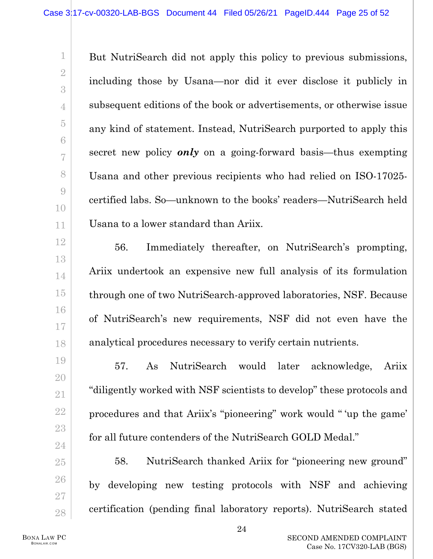But NutriSearch did not apply this policy to previous submissions, including those by Usana—nor did it ever disclose it publicly in subsequent editions of the book or advertisements, or otherwise issue any kind of statement. Instead, NutriSearch purported to apply this secret new policy *only* on a going-forward basis—thus exempting Usana and other previous recipients who had relied on ISO-17025 certified labs. So—unknown to the books' readers—NutriSearch held Usana to a lower standard than Ariix.

56. Immediately thereafter, on NutriSearch's prompting, Ariix undertook an expensive new full analysis of its formulation through one of two NutriSearch-approved laboratories, NSF. Because of NutriSearch's new requirements, NSF did not even have the analytical procedures necessary to verify certain nutrients.

57. As NutriSearch would later acknowledge, Ariix "diligently worked with NSF scientists to develop" these protocols and procedures and that Ariix's "pioneering" work would " 'up the game' for all future contenders of the NutriSearch GOLD Medal."

58. NutriSearch thanked Ariix for "pioneering new ground" by developing new testing protocols with NSF and achieving certification (pending final laboratory reports). NutriSearch stated

1

2

3

4

5

6

7

8

9

10

11

12

13

14

15

16

17

18

19

20

21

22

23

24

25

26

27

28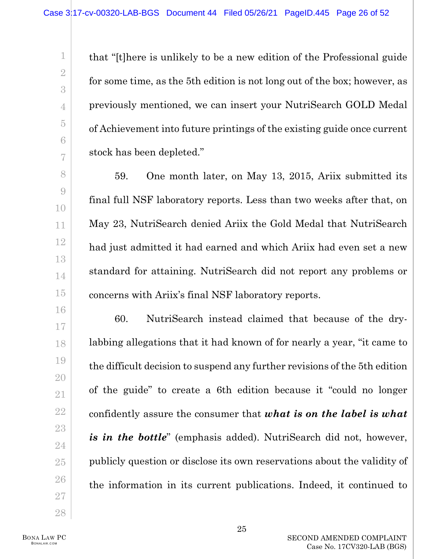that "[t]here is unlikely to be a new edition of the Professional guide for some time, as the 5th edition is not long out of the box; however, as previously mentioned, we can insert your NutriSearch GOLD Medal of Achievement into future printings of the existing guide once current stock has been depleted."

59. One month later, on May 13, 2015, Ariix submitted its final full NSF laboratory reports. Less than two weeks after that, on May 23, NutriSearch denied Ariix the Gold Medal that NutriSearch had just admitted it had earned and which Ariix had even set a new standard for attaining. NutriSearch did not report any problems or concerns with Ariix's final NSF laboratory reports.

60. NutriSearch instead claimed that because of the drylabbing allegations that it had known of for nearly a year, "it came to the difficult decision to suspend any further revisions of the 5th edition of the guide" to create a 6th edition because it "could no longer confidently assure the consumer that *what is on the label is what is in the bottle*" (emphasis added). NutriSearch did not, however, publicly question or disclose its own reservations about the validity of the information in its current publications. Indeed, it continued to

BONA LAW PC BONALAW.COM

1

2

3

4

5

6

7

8

9

10

11

12

13

14

15

16

17

18

19

20

21

22

23

24

25

26

27

28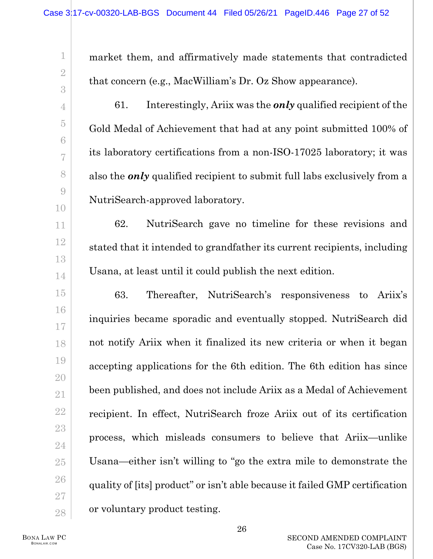1 2 3 4 5 6 7 8 9 10 11 12 13 14 15 16 17 18 19 20 21 22 23 24 25 26 27 28 market them, and affirmatively made statements that contradicted that concern (e.g., MacWilliam's Dr. Oz Show appearance). 61. Interestingly, Ariix was the *only* qualified recipient of the Gold Medal of Achievement that had at any point submitted 100% of its laboratory certifications from a non-ISO-17025 laboratory; it was also the *only* qualified recipient to submit full labs exclusively from a NutriSearch-approved laboratory. 62. NutriSearch gave no timeline for these revisions and stated that it intended to grandfather its current recipients, including Usana, at least until it could publish the next edition. 63. Thereafter, NutriSearch's responsiveness to Ariix's inquiries became sporadic and eventually stopped. NutriSearch did not notify Ariix when it finalized its new criteria or when it began accepting applications for the 6th edition. The 6th edition has since been published, and does not include Ariix as a Medal of Achievement recipient. In effect, NutriSearch froze Ariix out of its certification process, which misleads consumers to believe that Ariix—unlike Usana—either isn't willing to "go the extra mile to demonstrate the quality of [its] product" or isn't able because it failed GMP certification or voluntary product testing.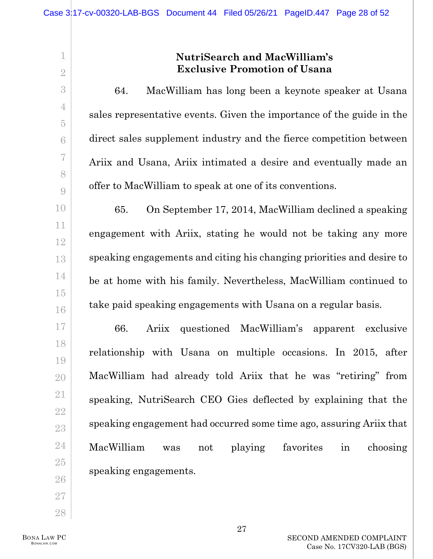# **NutriSearch and MacWilliam's Exclusive Promotion of Usana**

64. MacWilliam has long been a keynote speaker at Usana sales representative events. Given the importance of the guide in the direct sales supplement industry and the fierce competition between Ariix and Usana, Ariix intimated a desire and eventually made an offer to MacWilliam to speak at one of its conventions.

65. On September 17, 2014, MacWilliam declined a speaking engagement with Ariix, stating he would not be taking any more speaking engagements and citing his changing priorities and desire to be at home with his family. Nevertheless, MacWilliam continued to take paid speaking engagements with Usana on a regular basis.

66. Ariix questioned MacWilliam's apparent exclusive relationship with Usana on multiple occasions. In 2015, after MacWilliam had already told Ariix that he was "retiring" from speaking, NutriSearch CEO Gies deflected by explaining that the speaking engagement had occurred some time ago, assuring Ariix that MacWilliam was not playing favorites in choosing speaking engagements.

BONA LAW PC BONALAW.COM

1

2

3

4

5

6

7

8

9

10

11

12

13

14

15

16

17

18

19

20

21

22

23

24

25

26

27

28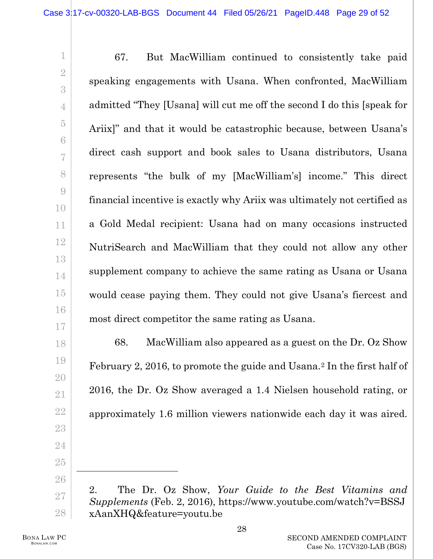67. But MacWilliam continued to consistently take paid speaking engagements with Usana. When confronted, MacWilliam admitted "They [Usana] will cut me off the second I do this [speak for Ariix]" and that it would be catastrophic because, between Usana's direct cash support and book sales to Usana distributors, Usana represents "the bulk of my [MacWilliam's] income." This direct financial incentive is exactly why Ariix was ultimately not certified as a Gold Medal recipient: Usana had on many occasions instructed NutriSearch and MacWilliam that they could not allow any other supplement company to achieve the same rating as Usana or Usana would cease paying them. They could not give Usana's fiercest and most direct competitor the same rating as Usana.

68. MacWilliam also appeared as a guest on the Dr. Oz Show February 2, 2016, to promote the guide and Usana.[2](#page-28-0) In the first half of 2016, the Dr. Oz Show averaged a 1.4 Nielsen household rating, or approximately 1.6 million viewers nationwide each day it was aired.

1

2

3

4

5

6

7

8

9

10

11

12

13

14

15

16

17

18

19

20

21

22

23

24

25

<span id="page-28-0"></span>26

27

<sup>2.</sup> The Dr. Oz Show, *Your Guide to the Best Vitamins and Supplements* (Feb. 2, 2016), https://www.youtube.com/watch?v=BSSJ xAanXHQ&feature=youtu.be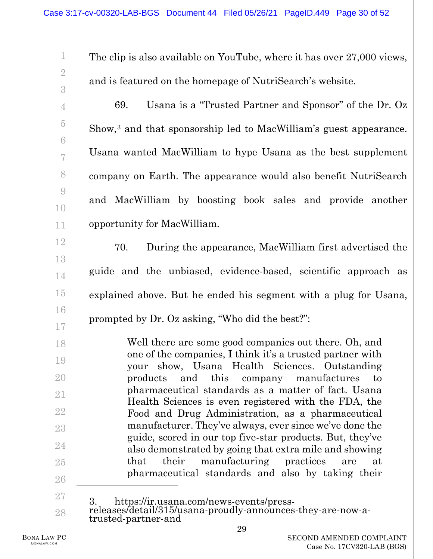The clip is also available on YouTube, where it has over 27,000 views, and is featured on the homepage of NutriSearch's website.

69. Usana is a "Trusted Partner and Sponsor" of the Dr. Oz Show,<sup>[3](#page-29-0)</sup> and that sponsorship led to MacWilliam's guest appearance. Usana wanted MacWilliam to hype Usana as the best supplement company on Earth. The appearance would also benefit NutriSearch and MacWilliam by boosting book sales and provide another opportunity for MacWilliam.

70. During the appearance, MacWilliam first advertised the guide and the unbiased, evidence-based, scientific approach as explained above. But he ended his segment with a plug for Usana, prompted by Dr. Oz asking, "Who did the best?":

Well there are some good companies out there. Oh, and one of the companies, I think it's a trusted partner with your show, Usana Health Sciences. Outstanding products and this company manufactures to pharmaceutical standards as a matter of fact. Usana Health Sciences is even registered with the FDA, the Food and Drug Administration, as a pharmaceutical manufacturer. They've always, ever since we've done the guide, scored in our top five-star products. But, they've also demonstrated by going that extra mile and showing that their manufacturing practices are at pharmaceutical standards and also by taking their

26 27

1

2

3

4

5

6

7

8

9

10

11

12

13

14

15

16

17

18

19

20

21

22

23

24

<span id="page-29-0"></span><sup>28</sup> 3. https://ir.usana.com/news-events/press- releases/detail/315/usana-proudly-announces-they-are-now-a- trusted-partner-and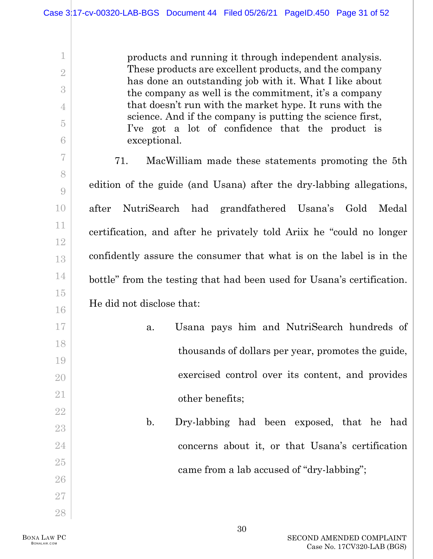products and running it through independent analysis. These products are excellent products, and the company has done an outstanding job with it. What I like about the company as well is the commitment, it's a company that doesn't run with the market hype. It runs with the science. And if the company is putting the science first, I've got a lot of confidence that the product is exceptional.

71. MacWilliam made these statements promoting the 5th edition of the guide (and Usana) after the dry-labbing allegations, after NutriSearch had grandfathered Usana's Gold Medal certification, and after he privately told Ariix he "could no longer confidently assure the consumer that what is on the label is in the bottle" from the testing that had been used for Usana's certification. He did not disclose that:

- a. Usana pays him and NutriSearch hundreds of thousands of dollars per year, promotes the guide, exercised control over its content, and provides other benefits;
	- b. Dry-labbing had been exposed, that he had concerns about it, or that Usana's certification came from a lab accused of "dry-labbing";

1

2

3

4

5

6

7

8

9

10

11

12

13

14

15

16

17

18

19

20

21

22

23

24

25

26

27

28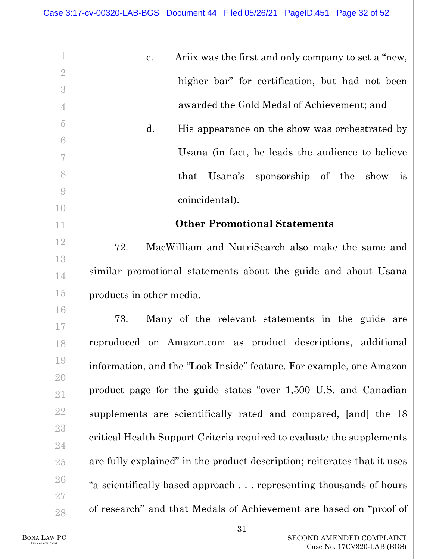<span id="page-31-0"></span>

| 1              | Ariix was the first and only company to set a "new,<br>c.                |
|----------------|--------------------------------------------------------------------------|
| $\overline{2}$ |                                                                          |
| 3              | higher bar" for certification, but had not been                          |
| $\overline{4}$ | awarded the Gold Medal of Achievement; and                               |
| $\overline{5}$ | His appearance on the show was orchestrated by<br>d.                     |
| $\sqrt{6}$     |                                                                          |
| 7              | Usana (in fact, he leads the audience to believe                         |
| 8              | sponsorship of the show<br>that Usana's<br>is                            |
| $\overline{9}$ | coincidental).                                                           |
| 10             |                                                                          |
| 11             | <b>Other Promotional Statements</b>                                      |
| 12             | 72.<br>MacWilliam and NutriSearch also make the same and                 |
| 13             |                                                                          |
| 14             | similar promotional statements about the guide and about Usana           |
| $15\,$         | products in other media.                                                 |
| 16             | 73.<br>Many of the relevant statements in the guide are                  |
| 17             |                                                                          |
| 18             | reproduced on Amazon.com as product descriptions, additional             |
| 19             | information, and the "Look Inside" feature. For example, one Amazon      |
| $20\,$         |                                                                          |
| $21\,$         | product page for the guide states "over 1,500 U.S. and Canadian          |
| $22\,$         | supplements are scientifically rated and compared, [and] the 18          |
| $23\,$         | critical Health Support Criteria required to evaluate the supplements    |
| 24             |                                                                          |
| $25\,$         | are fully explained" in the product description; reiterates that it uses |
| ${\bf 26}$     | "a scientifically-based approach representing thousands of hours         |
| $27\,$         |                                                                          |
| $28\,$         | of research" and that Medals of Achievement are based on "proof of       |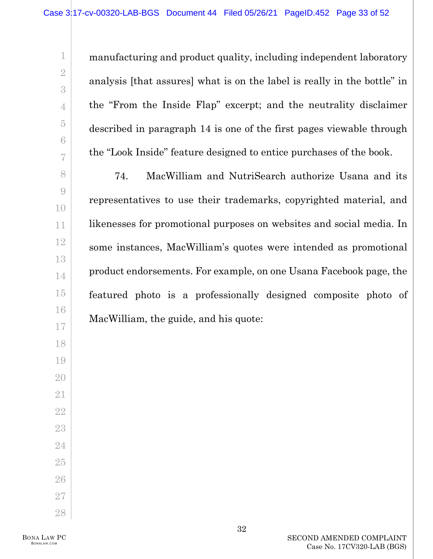manufacturing and product quality, including independent laboratory analysis [that assures] what is on the label is really in the bottle" in the "From the Inside Flap" excerpt; and the neutrality disclaimer described in paragraph [14](#page-8-0) is one of the first pages viewable through the "Look Inside" feature designed to entice purchases of the book.

74. MacWilliam and NutriSearch authorize Usana and its representatives to use their trademarks, copyrighted material, and likenesses for promotional purposes on websites and social media. In some instances, MacWilliam's quotes were intended as promotional product endorsements. For example, on one Usana Facebook page, the featured photo is a professionally designed composite photo of MacWilliam, the guide, and his quote: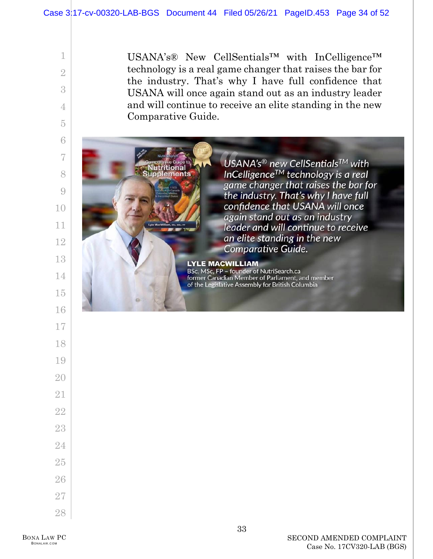utritional

upplements

USANA's® New CellSentials™ with InCelligence™ technology is a real game changer that raises the bar for the industry. That's why I have full confidence that USANA will once again stand out as an industry leader and will continue to receive an elite standing in the new Comparative Guide.

> USANA's<sup>®</sup> new CellSentials™ with InCelligence<sup>TM</sup> technology is a real game changer that raises the bar for the industry. That's why I have full confidence that USANA will once again stand out as an industry leader and will continue to receive an elite standing in the new Comparative Guide.

**LYLE MACWILLIAM** BSc, MSc, FP - founder of NutriSearch.ca former Canadian Member of Parliament, and member of the Legislative Assembly for British Columbia

1

2

3

4

5

6

7

8

9

10

11

12

13

14

15

16

17

18

19

20

21

22

23

24

25

26

27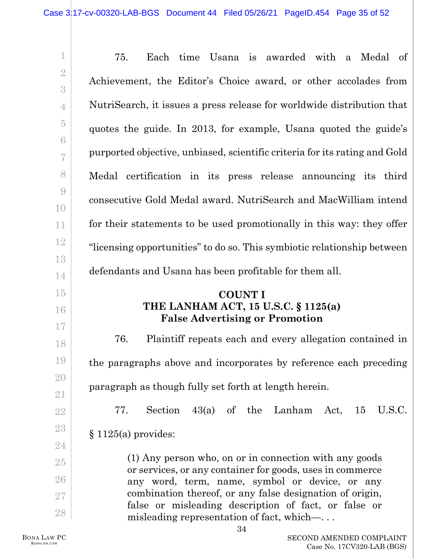| $\mathbf 1$         | Each time Usana is awarded with a Medal of<br>75.                                                                                                                  |
|---------------------|--------------------------------------------------------------------------------------------------------------------------------------------------------------------|
| $\overline{2}$<br>3 | Achievement, the Editor's Choice award, or other accolades from                                                                                                    |
| $\overline{4}$      | NutriSearch, it issues a press release for worldwide distribution that                                                                                             |
| $\overline{5}$      | quotes the guide. In 2013, for example, Usana quoted the guide's                                                                                                   |
| 6<br>7              | purported objective, unbiased, scientific criteria for its rating and Gold                                                                                         |
| 8                   | Medal certification in its press release announcing its third                                                                                                      |
| $\overline{9}$      | consecutive Gold Medal award. NutriSearch and MacWilliam intend                                                                                                    |
| 10<br>11            | for their statements to be used promotionally in this way: they offer                                                                                              |
| 12                  |                                                                                                                                                                    |
| 13                  | "licensing opportunities" to do so. This symbiotic relationship between                                                                                            |
| 14                  | defendants and Usana has been profitable for them all.                                                                                                             |
|                     |                                                                                                                                                                    |
| 15<br>16            | <b>COUNT I</b><br>THE LANHAM ACT, 15 U.S.C. § 1125(a)<br><b>False Advertising or Promotion</b>                                                                     |
| 17<br>18            | 76.<br>Plaintiff repeats each and every allegation contained in                                                                                                    |
| 19                  | the paragraphs above and incorporates by reference each preceding                                                                                                  |
| 20                  |                                                                                                                                                                    |
| 21                  | paragraph as though fully set forth at length herein.                                                                                                              |
| $22\,$              | Section $43(a)$ of the Lanham Act, 15<br>U.S.C.<br>77.                                                                                                             |
| 23                  | $§ 1125(a)$ provides:                                                                                                                                              |
| 24                  | (1) Any person who, on or in connection with any goods                                                                                                             |
| $25\,$              | or services, or any container for goods, uses in commerce                                                                                                          |
| 26<br>$27\,$        | any word, term, name, symbol or device, or any<br>combination thereof, or any false designation of origin,<br>false or misleading description of fact, or false or |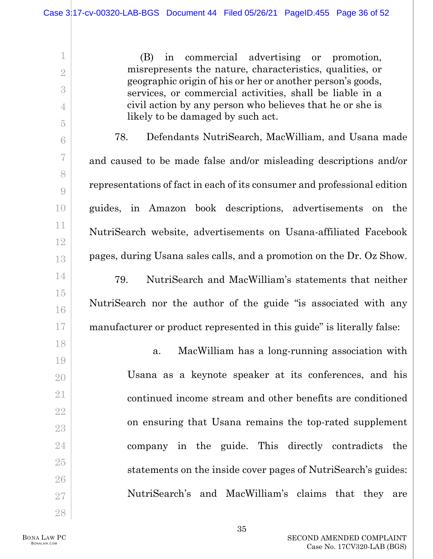(B) in commercial advertising or promotion, misrepresents the nature, characteristics, qualities, or geographic origin of his or her or another person's goods, services, or commercial activities, shall be liable in a civil action by any person who believes that he or she is likely to be damaged by such act.

78. Defendants NutriSearch, MacWilliam, and Usana made and caused to be made false and/or misleading descriptions and/or representations of fact in each of its consumer and professional edition guides, in Amazon book descriptions, advertisements on the NutriSearch website, advertisements on Usana-affiliated Facebook pages, during Usana sales calls, and a promotion on the Dr. Oz Show. 79. NutriSearch and MacWilliam's statements that neither NutriSearch nor the author of the guide "is associated with any

manufacturer or product represented in this guide" is literally false:

a. MacWilliam has a long-running association with Usana as a keynote speaker at its conferences, and his continued income stream and other benefits are conditioned on ensuring that Usana remains the top-rated supplement company in the guide. This directly contradicts the statements on the inside cover pages of NutriSearch's guides: NutriSearch's and MacWilliam's claims that they are

BONA LAW PC BONALAW.COM

1

2

3

4

5

6

7

8

9

10

11

12

13

14

15

16

17

18

19

20

21

22

23

24

25

26

27

28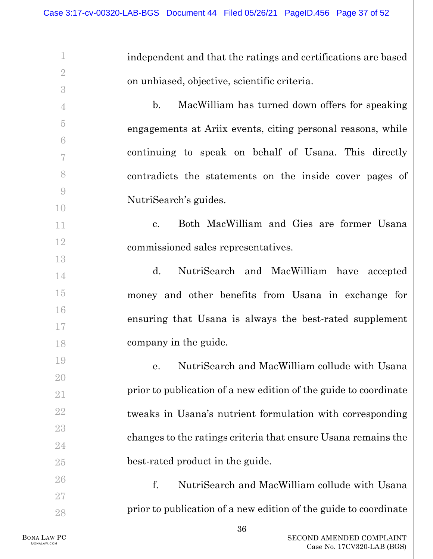1 2 3 4 5 6 7 8 9 10 11 12 13 14 15 16 17 18 19 20 21 22 23 24 25 26 27 28 independent and that the ratings and certifications are based on unbiased, objective, scientific criteria. b. MacWilliam has turned down offers for speaking engagements at Ariix events, citing personal reasons, while continuing to speak on behalf of Usana. This directly contradicts the statements on the inside cover pages of NutriSearch's guides. c. Both MacWilliam and Gies are former Usana commissioned sales representatives. d. NutriSearch and MacWilliam have accepted money and other benefits from Usana in exchange for ensuring that Usana is always the best-rated supplement company in the guide. e. NutriSearch and MacWilliam collude with Usana prior to publication of a new edition of the guide to coordinate tweaks in Usana's nutrient formulation with corresponding changes to the ratings criteria that ensure Usana remains the best-rated product in the guide. f. NutriSearch and MacWilliam collude with Usana prior to publication of a new edition of the guide to coordinate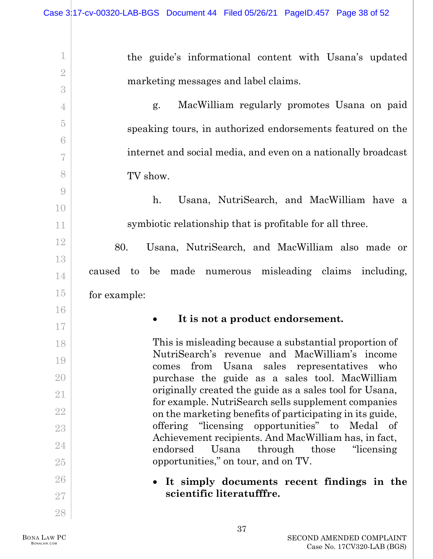| 1              | the guide's informational content with Usana's updated                                                         |
|----------------|----------------------------------------------------------------------------------------------------------------|
| $\overline{2}$ | marketing messages and label claims.                                                                           |
| 3              |                                                                                                                |
| $\overline{4}$ | MacWilliam regularly promotes Usana on paid<br>g.                                                              |
| $\overline{5}$ | speaking tours, in authorized endorsements featured on the                                                     |
| 6              | internet and social media, and even on a nationally broadcast                                                  |
|                |                                                                                                                |
| 8              | TV show.                                                                                                       |
| $\overline{9}$ | Usana, NutriSearch, and MacWilliam have a<br>h.                                                                |
| 10             |                                                                                                                |
| 11             | symbiotic relationship that is profitable for all three.                                                       |
| 12             | 80.<br>Usana, NutriSearch, and MacWilliam also made or                                                         |
| 13             | caused to be made numerous misleading claims including,                                                        |
| 14             |                                                                                                                |
| $15\,$         | for example:                                                                                                   |
|                |                                                                                                                |
| 16             |                                                                                                                |
| 17             | It is not a product endorsement.                                                                               |
| 18             | This is misleading because a substantial proportion of                                                         |
| 19             | NutriSearch's revenue and MacWilliam's income<br>Usana sales representatives<br>from<br>comes<br>who           |
| 20             | purchase the guide as a sales tool. MacWilliam                                                                 |
| 21             | originally created the guide as a sales tool for Usana,<br>for example. NutriSearch sells supplement companies |
| 22             | on the marketing benefits of participating in its guide,                                                       |
| 23             | offering "licensing opportunities" to<br>Medal<br>of<br>Achievement recipients. And MacWilliam has, in fact,   |
| 24             | endorsed<br>Usana<br>through those<br>"licensing"                                                              |
| 25             | opportunities," on tour, and on TV.                                                                            |
| 26             | It simply documents recent findings in the                                                                     |
| 27<br>28       | scientific literatufffre.                                                                                      |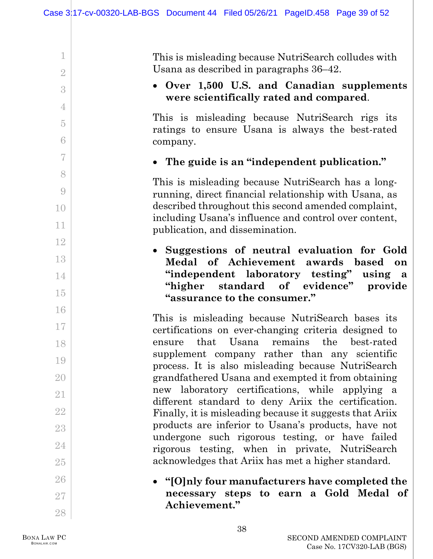This is misleading because NutriSearch colludes with Usana as described in paragraphs [36](#page-17-0)[–42.](#page-20-0)

## • **Over 1,500 U.S. and Canadian supplements were scientifically rated and compared**.

This is misleading because NutriSearch rigs its ratings to ensure Usana is always the best-rated company.

• **The guide is an "independent publication."**

This is misleading because NutriSearch has a longrunning, direct financial relationship with Usana, as described throughout this second amended complaint, including Usana's influence and control over content, publication, and dissemination.

• **Suggestions of neutral evaluation for Gold Medal of Achievement awards based on "independent laboratory testing" using a "higher standard of evidence" provide "assurance to the consumer."**

This is misleading because NutriSearch bases its certifications on ever-changing criteria designed to ensure that Usana remains the best-rated supplement company rather than any scientific process. It is also misleading because NutriSearch grandfathered Usana and exempted it from obtaining new laboratory certifications, while applying a different standard to deny Ariix the certification. Finally, it is misleading because it suggests that Ariix products are inferior to Usana's products, have not undergone such rigorous testing, or have failed rigorous testing, when in private, NutriSearch acknowledges that Ariix has met a higher standard.

• **"[O]nly four manufacturers have completed the necessary steps to earn a Gold Medal of Achievement."**

1

2

3

4

5

6

7

8

9

10

11

12

13

14

15

16

17

18

19

20

21

22

23

24

25

26

27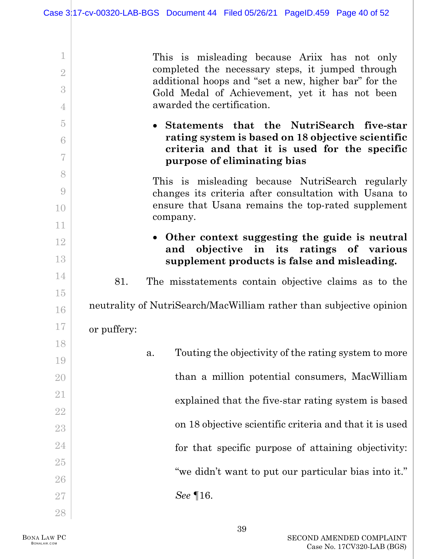| 1               | This is misleading because Ariix has not only<br>completed the necessary steps, it jumped through  |
|-----------------|----------------------------------------------------------------------------------------------------|
| $\overline{2}$  | additional hoops and "set a new, higher bar" for the                                               |
| 3               | Gold Medal of Achievement, yet it has not been                                                     |
| $\overline{4}$  | awarded the certification.                                                                         |
| $\overline{5}$  | • Statements that the NutriSearch five-star                                                        |
| $6\phantom{.}6$ | rating system is based on 18 objective scientific<br>criteria and that it is used for the specific |
| 7               | purpose of eliminating bias                                                                        |
| 8               | This is misleading because NutriSearch regularly                                                   |
| $\overline{9}$  | changes its criteria after consultation with Usana to                                              |
| 10              | ensure that Usana remains the top-rated supplement<br>company.                                     |
| 11              |                                                                                                    |
| 12              | • Other context suggesting the guide is neutral<br>and objective in its ratings of various         |
| 13              | supplement products is false and misleading.                                                       |
| 14              | 81.<br>The misstatements contain objective claims as to the                                        |
| 15              |                                                                                                    |
| 16              | neutrality of NutriSearch/MacWilliam rather than subjective opinion                                |
| 17              | or puffery:                                                                                        |
| 18              |                                                                                                    |
| 19              | Touting the objectivity of the rating system to more<br>a.                                         |
| $20\,$          | than a million potential consumers, MacWilliam                                                     |
| 21              | explained that the five-star rating system is based                                                |
| $22\,$          |                                                                                                    |
| $23\,$          | on 18 objective scientific criteria and that it is used                                            |
| 24              | for that specific purpose of attaining objectivity:                                                |
| 25              |                                                                                                    |
| 26              | "we didn't want to put our particular bias into it."                                               |
| $27\,$          | $See \, \P16.$                                                                                     |
| 28              |                                                                                                    |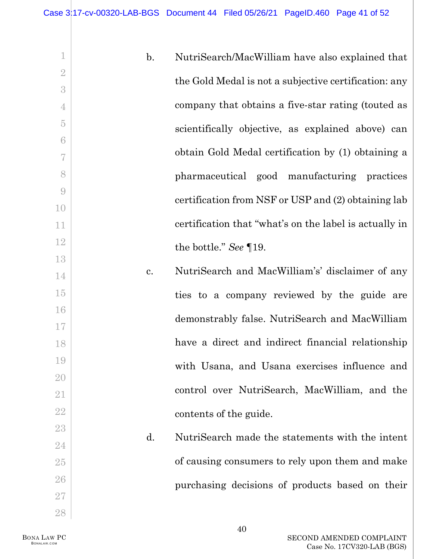| $\mathbf 1$      | $\mathbf{b}$ . | NutriSearch/MacWilliam have also explained that        |
|------------------|----------------|--------------------------------------------------------|
| $\overline{2}$   |                |                                                        |
| 3                |                | the Gold Medal is not a subjective certification: any  |
| $\overline{4}$   |                | company that obtains a five-star rating (touted as     |
| $\overline{5}$   |                | scientifically objective, as explained above) can      |
| $\sqrt{6}$       |                |                                                        |
| $\overline{7}$   |                | obtain Gold Medal certification by (1) obtaining a     |
| 8                |                | pharmaceutical good manufacturing practices            |
| $\boldsymbol{0}$ |                | certification from NSF or USP and (2) obtaining lab    |
| 10               |                |                                                        |
| 11               |                | certification that "what's on the label is actually in |
| 12               |                | the bottle." See $\P$ 19.                              |
| 13               |                |                                                        |
| 14               | c.             | NutriSearch and MacWilliam's' disclaimer of any        |
| 15               |                | ties to a company reviewed by the guide are            |
| 16               |                | demonstrably false. NutriSearch and MacWilliam         |
| 17               |                |                                                        |
| 18               |                | have a direct and indirect financial relationship      |
| 19               |                | with Usana, and Usana exercises influence and          |
| 20               |                |                                                        |
| 21               |                | control over NutriSearch, MacWilliam, and the          |
| $22\,$           |                | contents of the guide.                                 |
| $23\,$           | d.             | NutriSearch made the statements with the intent        |
| 24               |                |                                                        |
| $25\,$           |                | of causing consumers to rely upon them and make        |
| ${\bf 26}$       |                | purchasing decisions of products based on their        |

27 28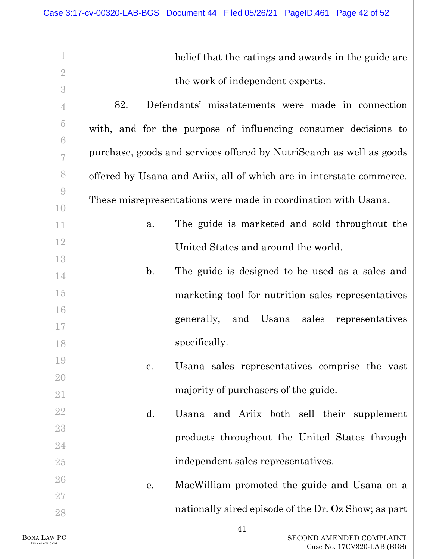1 2 3 4 5 6 7 8 9 10 11 12 13 14 15 16 17 18 19 20 21 22 23 24 25 26 27 28 belief that the ratings and awards in the guide are the work of independent experts. 82. Defendants' misstatements were made in connection with, and for the purpose of influencing consumer decisions to purchase, goods and services offered by NutriSearch as well as goods offered by Usana and Ariix, all of which are in interstate commerce. These misrepresentations were made in coordination with Usana. a. The guide is marketed and sold throughout the United States and around the world. b. The guide is designed to be used as a sales and marketing tool for nutrition sales representatives generally, and Usana sales representatives specifically. c. Usana sales representatives comprise the vast majority of purchasers of the guide. d. Usana and Ariix both sell their supplement products throughout the United States through independent sales representatives. e. MacWilliam promoted the guide and Usana on a nationally aired episode of the Dr. Oz Show; as part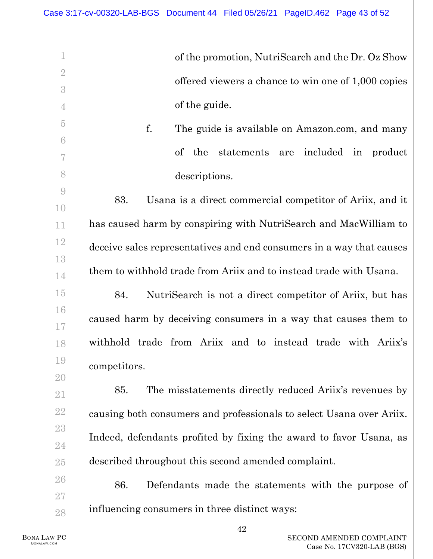of the promotion, NutriSearch and the Dr. Oz Show offered viewers a chance to win one of 1,000 copies of the guide.

f. The guide is available on Amazon.com, and many of the statements are included in product descriptions.

83. Usana is a direct commercial competitor of Ariix, and it has caused harm by conspiring with NutriSearch and MacWilliam to deceive sales representatives and end consumers in a way that causes them to withhold trade from Ariix and to instead trade with Usana.

84. NutriSearch is not a direct competitor of Ariix, but has caused harm by deceiving consumers in a way that causes them to withhold trade from Ariix and to instead trade with Ariix's competitors.

85. The misstatements directly reduced Ariix's revenues by causing both consumers and professionals to select Usana over Ariix. Indeed, defendants profited by fixing the award to favor Usana, as described throughout this second amended complaint.

86. Defendants made the statements with the purpose of influencing consumers in three distinct ways:

1

2

3

4

5

6

7

8

9

10

11

12

13

14

15

16

17

18

19

20

21

22

23

24

25

26

27

28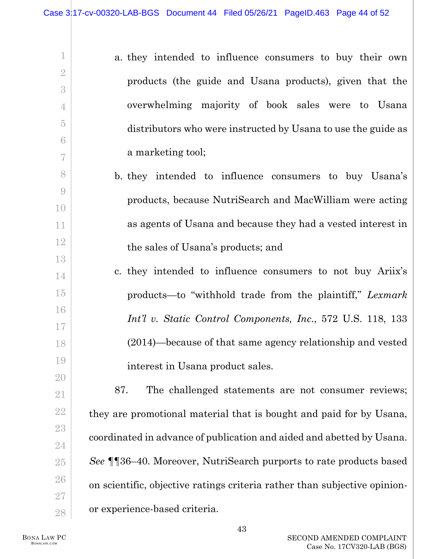| 1                   | a. they intended to influence consumers to buy their own                   |
|---------------------|----------------------------------------------------------------------------|
| $\overline{2}$      | products (the guide and Usana products), given that the                    |
| 3<br>$\overline{4}$ | overwhelming majority of book sales were to Usana                          |
| $\overline{5}$      |                                                                            |
| $6\phantom{.}6$     | distributors who were instructed by Usana to use the guide as              |
| 7                   | a marketing tool;                                                          |
| 8                   | b. they intended to influence consumers to buy Usana's                     |
| 9                   | products, because NutriSearch and MacWilliam were acting                   |
| 10                  |                                                                            |
| 11<br>$12\,$        | as agents of Usana and because they had a vested interest in               |
| 13                  | the sales of Usana's products; and                                         |
| 14                  | c. they intended to influence consumers to not buy Ariix's                 |
| 15                  | products—to "withhold trade from the plaintiff," Lexmark                   |
| 16<br>17            | Int'l v. Static Control Components, Inc., 572 U.S. 118, 133                |
| 18                  | $(2014)$ —because of that same agency relationship and vested              |
| 19                  | interest in Usana product sales.                                           |
| 20                  | The challenged statements are not consumer reviews;<br>87.                 |
| 21                  |                                                                            |
| 22<br>23            | they are promotional material that is bought and paid for by Usana,        |
| 24                  | coordinated in advance of publication and aided and abetted by Usana.      |
| $25\,$              | See <b>[</b> [36–40. Moreover, NutriSearch purports to rate products based |
| 26                  | on scientific, objective ratings criteria rather than subjective opinion-  |
| 27<br>28            | or experience-based criteria.                                              |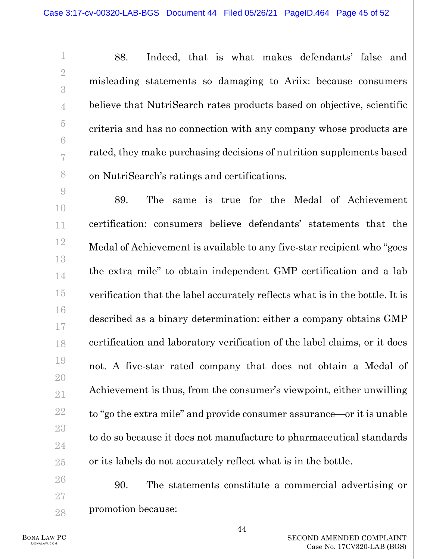88. Indeed, that is what makes defendants' false and misleading statements so damaging to Ariix: because consumers believe that NutriSearch rates products based on objective, scientific criteria and has no connection with any company whose products are rated, they make purchasing decisions of nutrition supplements based on NutriSearch's ratings and certifications.

89. The same is true for the Medal of Achievement certification: consumers believe defendants' statements that the Medal of Achievement is available to any five-star recipient who "goes the extra mile" to obtain independent GMP certification and a lab verification that the label accurately reflects what is in the bottle. It is described as a binary determination: either a company obtains GMP certification and laboratory verification of the label claims, or it does not. A five-star rated company that does not obtain a Medal of Achievement is thus, from the consumer's viewpoint, either unwilling to "go the extra mile" and provide consumer assurance—or it is unable to do so because it does not manufacture to pharmaceutical standards or its labels do not accurately reflect what is in the bottle.

90. The statements constitute a commercial advertising or promotion because:

1

2

3

4

5

6

7

8

9

10

11

12

13

14

15

16

17

18

19

20

21

22

23

24

25

26

27

28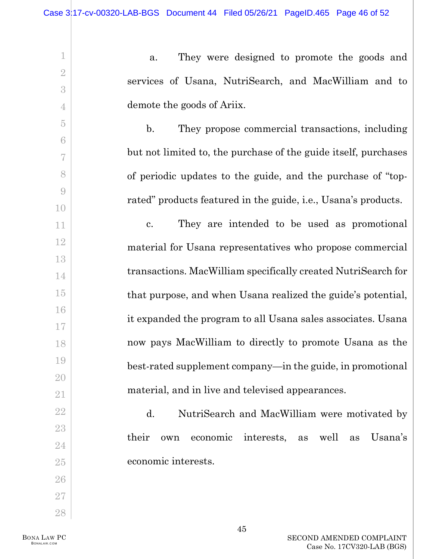a. They were designed to promote the goods and services of Usana, NutriSearch, and MacWilliam and to demote the goods of Ariix.

b. They propose commercial transactions, including but not limited to, the purchase of the guide itself, purchases of periodic updates to the guide, and the purchase of "toprated" products featured in the guide, i.e., Usana's products.

c. They are intended to be used as promotional material for Usana representatives who propose commercial transactions. MacWilliam specifically created NutriSearch for that purpose, and when Usana realized the guide's potential, it expanded the program to all Usana sales associates. Usana now pays MacWilliam to directly to promote Usana as the best-rated supplement company—in the guide, in promotional material, and in live and televised appearances.

d. NutriSearch and MacWilliam were motivated by their own economic interests, as well as Usana's economic interests.

BONA LAW PC BONALAW.COM

1

2

3

4

5

6

7

8

9

10

11

12

13

14

15

16

17

18

19

20

21

22

23

24

25

26

27

28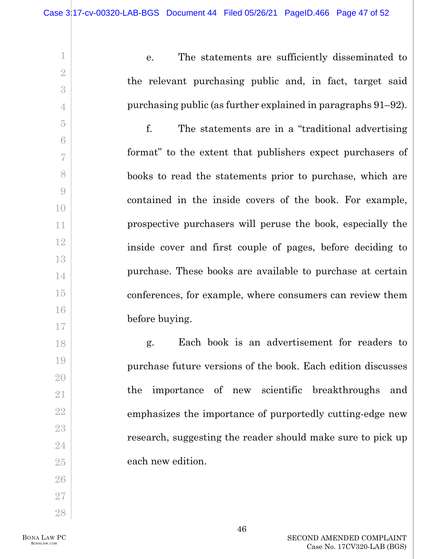e. The statements are sufficiently disseminated to the relevant purchasing public and, in fact, target said purchasing public (as further explained in paragraphs [91–](#page-47-0)[92\)](#page-48-0).

f. The statements are in a "traditional advertising format" to the extent that publishers expect purchasers of books to read the statements prior to purchase, which are contained in the inside covers of the book. For example, prospective purchasers will peruse the book, especially the inside cover and first couple of pages, before deciding to purchase. These books are available to purchase at certain conferences, for example, where consumers can review them before buying.

g. Each book is an advertisement for readers to purchase future versions of the book. Each edition discusses the importance of new scientific breakthroughs and emphasizes the importance of purportedly cutting-edge new research, suggesting the reader should make sure to pick up each new edition.

1

2

3

4

5

6

7

8

9

10

11

12

13

14

15

16

17

18

19

20

21

22

23

24

25

26

27

28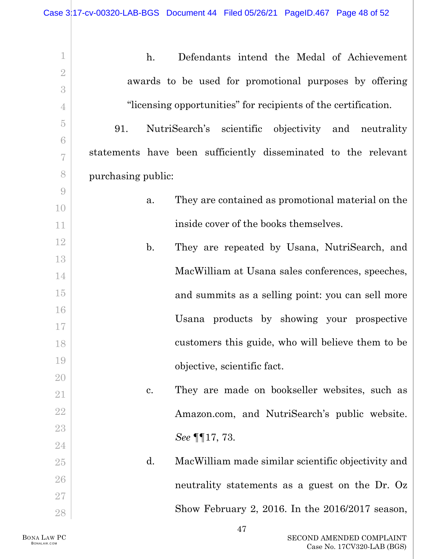<span id="page-47-0"></span>1 2 3 4 5 6 7 8 9 10 11 12 13 14 15 16 17 18 19 20 21 22 23 24 25 26 27 28 h. Defendants intend the Medal of Achievement awards to be used for promotional purposes by offering "licensing opportunities" for recipients of the certification. 91. NutriSearch's scientific objectivity and neutrality statements have been sufficiently disseminated to the relevant purchasing public: a. They are contained as promotional material on the inside cover of the books themselves. b. They are repeated by Usana, NutriSearch, and MacWilliam at Usana sales conferences, speeches, and summits as a selling point: you can sell more Usana products by showing your prospective customers this guide, who will believe them to be objective, scientific fact. c. They are made on bookseller websites, such as Amazon.com, and NutriSearch's public website. *See* ¶[¶17,](#page-10-0) [73.](#page-31-0) d. MacWilliam made similar scientific objectivity and neutrality statements as a guest on the Dr. Oz Show February 2, 2016. In the 2016/2017 season,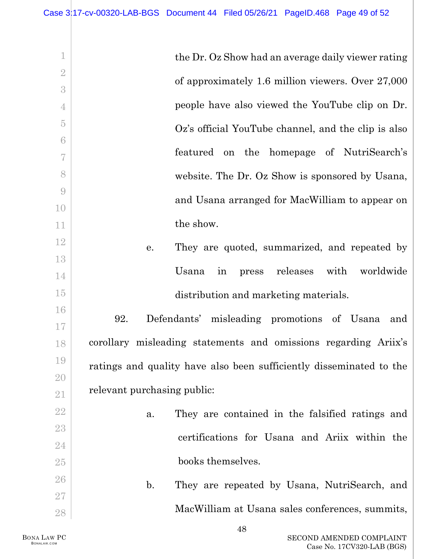<span id="page-48-0"></span>

| $\mathbf 1$       | the Dr. Oz Show had an average daily viewer rating                  |
|-------------------|---------------------------------------------------------------------|
| $\overline{2}$    |                                                                     |
| 3                 | of approximately 1.6 million viewers. Over 27,000                   |
| $\overline{4}$    | people have also viewed the YouTube clip on Dr.                     |
| $\overline{5}$    | Oz's official YouTube channel, and the clip is also                 |
| 6                 |                                                                     |
| 7                 | featured on the homepage of NutriSearch's                           |
| 8                 | website. The Dr. Oz Show is sponsored by Usana,                     |
| $\overline{9}$    | and Usana arranged for MacWilliam to appear on                      |
| 10                |                                                                     |
| 11                | the show.                                                           |
| 12                | They are quoted, summarized, and repeated by<br>е.                  |
| 13                |                                                                     |
| 14                | releases<br>with<br>worldwide<br>Usana<br>in<br>press               |
| 15                | distribution and marketing materials.                               |
| 16                | 92.<br>Defendants' misleading promotions of Usana<br>and            |
| 17                |                                                                     |
| 18                | corollary misleading statements and omissions regarding Ariix's     |
| 19                | ratings and quality have also been sufficiently disseminated to the |
| 20                |                                                                     |
| $21\,$            | relevant purchasing public:                                         |
| $22\,$            | They are contained in the falsified ratings and<br>a.               |
| $23\,$            | certifications for Usana and Ariix within the                       |
| $24\,$            |                                                                     |
| $25\,$            | books themselves.                                                   |
| $26\,$            | $\mathbf{b}$ .<br>They are repeated by Usana, NutriSearch, and      |
| $27\,$            |                                                                     |
| $\ensuremath{28}$ | MacWilliam at Usana sales conferences, summits,                     |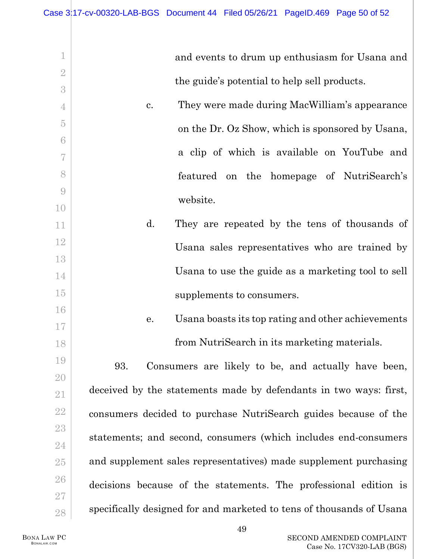|                                      | and events to drum up enthusiasm for Usana and                       |
|--------------------------------------|----------------------------------------------------------------------|
| $\overline{2}$                       |                                                                      |
| 3                                    | the guide's potential to help sell products.                         |
| 4                                    | They were made during MacWilliam's appearance<br>c.                  |
| $\overline{5}$                       | on the Dr. Oz Show, which is sponsored by Usana,                     |
| 6                                    |                                                                      |
| 7                                    | a clip of which is available on YouTube and                          |
| 8                                    | featured on the homepage of NutriSearch's                            |
| $\begin{matrix} 0 \\ 0 \end{matrix}$ | website.                                                             |
| 10                                   |                                                                      |
| 11                                   | d.<br>They are repeated by the tens of thousands of                  |
| 12                                   | Usana sales representatives who are trained by                       |
| 13                                   |                                                                      |
| 14                                   | Usana to use the guide as a marketing tool to sell                   |
| 15                                   | supplements to consumers.                                            |
| 16                                   | Usana boasts its top rating and other achievements<br>е.             |
| 17                                   |                                                                      |
| 18                                   | from NutriSearch in its marketing materials.                         |
| 19                                   | Consumers are likely to be, and actually have been,<br>93.           |
| 20                                   |                                                                      |
| 21                                   | deceived by the statements made by defendants in two ways: first,    |
| $22\,$                               | consumers decided to purchase NutriSearch guides because of the      |
| $23\,$                               | statements; and second, consumers (which includes end-consumers      |
| 24                                   |                                                                      |
| $25\,$                               | and supplement sales representatives) made supplement purchasing     |
| 26                                   | decisions because of the statements. The professional edition is     |
| $27\,$                               |                                                                      |
| $\ensuremath{28}$                    | specifically designed for and marketed to tens of thousands of Usana |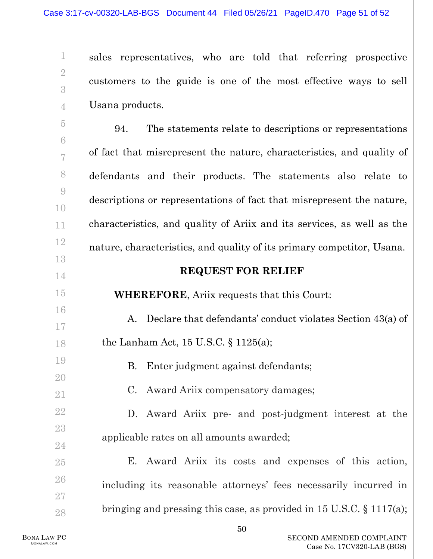sales representatives, who are told that referring prospective customers to the guide is one of the most effective ways to sell Usana products.

5 6 7 8 9 10 11 12 13 14 15 16 17 18 19 20 94. The statements relate to descriptions or representations of fact that misrepresent the nature, characteristics, and quality of defendants and their products. The statements also relate to descriptions or representations of fact that misrepresent the nature, characteristics, and quality of Ariix and its services, as well as the nature, characteristics, and quality of its primary competitor, Usana. **REQUEST FOR RELIEF WHEREFORE**, Ariix requests that this Court: A. Declare that defendants' conduct violates Section 43(a) of the Lanham Act, 15 U.S.C. § 1125(a); B. Enter judgment against defendants;

C. Award Ariix compensatory damages;

D. Award Ariix pre- and post-judgment interest at the applicable rates on all amounts awarded;

E. Award Ariix its costs and expenses of this action, including its reasonable attorneys' fees necessarily incurred in bringing and pressing this case, as provided in 15 U.S.C. § 1117(a);

21

22

23

24

25

26

27

28

1

2

3